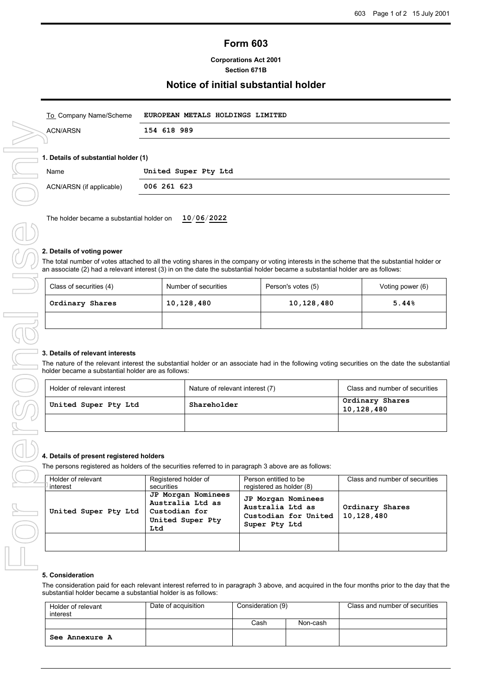# **Form 603**

## **Corporations Act 2001 Section 671B**

# **Notice of initial substantial holder**

| To Company Name/Scheme   | EUROPEAN METALS HOLDINGS LIMITED     |  |  |  |  |  |
|--------------------------|--------------------------------------|--|--|--|--|--|
| <b>ACN/ARSN</b>          | 154 618 989                          |  |  |  |  |  |
|                          |                                      |  |  |  |  |  |
|                          | 1. Details of substantial holder (1) |  |  |  |  |  |
| Name                     | United Super Pty Ltd                 |  |  |  |  |  |
| ACN/ARSN (if applicable) | 006 261 623                          |  |  |  |  |  |
|                          |                                      |  |  |  |  |  |

The holder became a substantial holder on **10**/**06**/**2022**

## **2. Details of voting power**

The total number of votes attached to all the voting shares in the company or voting interests in the scheme that the substantial holder or an associate (2) had a relevant interest (3) in on the date the substantial holder became a substantial holder are as follows:

| Class of securities (4) | Number of securities | Person's votes (5) | Voting power (6) |
|-------------------------|----------------------|--------------------|------------------|
| Ordinary Shares         | 10,128,480           | 10,128,480         | 5.44%            |
|                         |                      |                    |                  |

#### **3. Details of relevant interests**

The nature of the relevant interest the substantial holder or an associate had in the following voting securities on the date the substantial holder became a substantial holder are as follows:

| Holder of relevant interest | Nature of relevant interest (7) | Class and number of securities |
|-----------------------------|---------------------------------|--------------------------------|
| United Super Pty Ltd        | Shareholder                     | Ordinary Shares<br>10,128,480  |
|                             |                                 |                                |

#### **4. Details of present registered holders**

The persons registered as holders of the securities referred to in paragraph 3 above are as follows:

| Holder of relevant<br>interest | Registered holder of<br>securities                                                 | Person entitled to be<br>registered as holder (8)                               | Class and number of securities |
|--------------------------------|------------------------------------------------------------------------------------|---------------------------------------------------------------------------------|--------------------------------|
| United Super Pty Ltd           | JP Morgan Nominees<br>Australia Ltd as<br>Custodian for<br>United Super Pty<br>Ltd | JP Morgan Nominees<br>Australia Ltd as<br>Custodian for United<br>Super Pty Ltd | Ordinary Shares<br>10,128,480  |
|                                |                                                                                    |                                                                                 |                                |

## **5. Consideration**

The consideration paid for each relevant interest referred to in paragraph 3 above, and acquired in the four months prior to the day that the substantial holder became a substantial holder is as follows:

| Holder of relevant<br>interest | Date of acquisition | Consideration (9) |          | Class and number of securities |
|--------------------------------|---------------------|-------------------|----------|--------------------------------|
|                                |                     | Cash              | Non-cash |                                |
| See Annexure A                 |                     |                   |          |                                |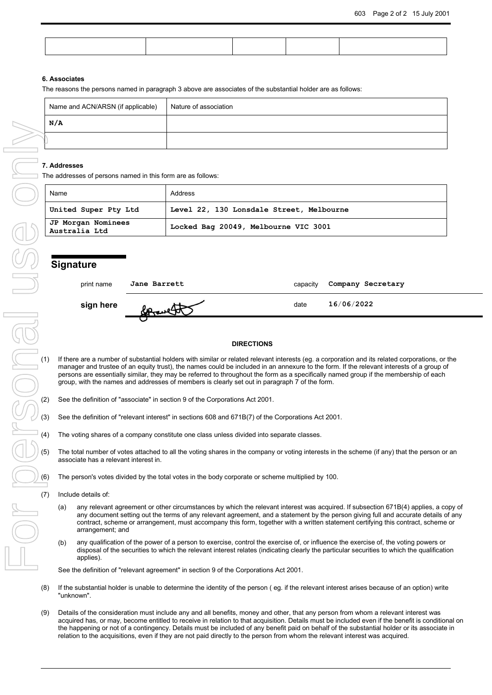## **6. Associates**

The reasons the persons named in paragraph 3 above are associates of the substantial holder are as follows:

| Name and ACN/ARSN (if applicable) | Nature of association |
|-----------------------------------|-----------------------|
| N/A                               |                       |
|                                   |                       |

The addresses of persons named in this form are as follows:

| Name                                | Address                                  |
|-------------------------------------|------------------------------------------|
| United Super Pty Ltd                | Level 22, 130 Lonsdale Street, Melbourne |
| JP Morgan Nominees<br>Australia Ltd | Locked Bag 20049, Melbourne VIC 3001     |

## **Signature**

| print name | <b>Jane Barrett</b> | capacity | Company Secretary |  |
|------------|---------------------|----------|-------------------|--|
| sign here  |                     | date     | 16/06/2022        |  |
|            |                     |          |                   |  |

#### **DIRECTIONS**

- Sign here **Contained and the Contained Contained Contained Contained Contained Contained Contained Contained Contained Contained Contained Contained Contained Contained Contained Contained Contained Contained Contained Con** manager and trustee of an equity trust), the names could be included in an annexure to the form. If the relevant interests of a group of persons are essentially similar, they may be referred to throughout the form as a specifically named group if the membership of each group, with the names and addresses of members is clearly set out in paragraph 7 of the form.
	- See the definition of "associate" in section 9 of the Corporations Act 2001.
	- See the definition of "relevant interest" in sections 608 and 671B(7) of the Corporations Act 2001.
	- The voting shares of a company constitute one class unless divided into separate classes.
	- The total number of votes attached to all the voting shares in the company or voting interests in the scheme (if any) that the person or an associate has a relevant interest in.
	- The person's votes divided by the total votes in the body corporate or scheme multiplied by 100.
	- Include details of:
		- (a) any relevant agreement or other circumstances by which the relevant interest was acquired. If subsection 671B(4) applies, a copy of any document setting out the terms of any relevant agreement, and a statement by the person giving full and accurate details of any contract, scheme or arrangement, must accompany this form, together with a written statement certifying this contract, scheme or arrangement; and
	- (b) any qualification of the power of a person to exercise, control the exercise of, or influence the exercise of, the voting powers or disposal of the securities to which the relevant interest relates (indicating clearly the particular securities to which the qualification applies).

See the definition of "relevant agreement" in section 9 of the Corporations Act 2001.

- (8) If the substantial holder is unable to determine the identity of the person ( eg. if the relevant interest arises because of an option) write "unknown".
- (9) Details of the consideration must include any and all benefits, money and other, that any person from whom a relevant interest was acquired has, or may, become entitled to receive in relation to that acquisition. Details must be included even if the benefit is conditional on the happening or not of a contingency. Details must be included of any benefit paid on behalf of the substantial holder or its associate in relation to the acquisitions, even if they are not paid directly to the person from whom the relevant interest was acquired.